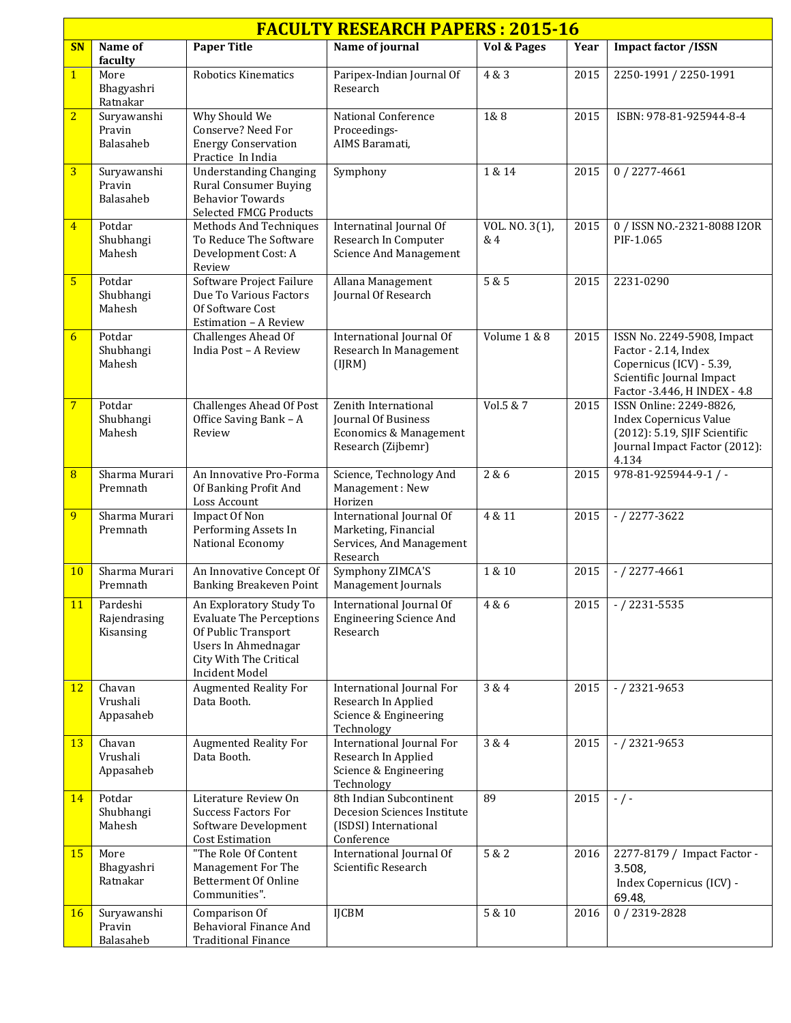| <b>FACULTY RESEARCH PAPERS: 2015-16</b> |                                       |                                                                                                                                                             |                                                                                                      |                       |      |                                                                                                                                             |  |  |  |  |
|-----------------------------------------|---------------------------------------|-------------------------------------------------------------------------------------------------------------------------------------------------------------|------------------------------------------------------------------------------------------------------|-----------------------|------|---------------------------------------------------------------------------------------------------------------------------------------------|--|--|--|--|
| <b>SN</b>                               | Name of<br>faculty                    | <b>Paper Title</b>                                                                                                                                          | Name of journal                                                                                      | Vol & Pages           | Year | <b>Impact factor /ISSN</b>                                                                                                                  |  |  |  |  |
| $\overline{1}$                          | More<br>Bhagyashri<br>Ratnakar        | Robotics Kinematics                                                                                                                                         | Paripex-Indian Journal Of<br>Research                                                                | 4 & 3                 | 2015 | 2250-1991 / 2250-1991                                                                                                                       |  |  |  |  |
| $\overline{2}$                          | Suryawanshi<br>Pravin<br>Balasaheb    | Why Should We<br>Conserve? Need For<br><b>Energy Conservation</b><br>Practice In India                                                                      | National Conference<br>Proceedings-<br>AIMS Baramati,                                                | 1&8                   | 2015 | ISBN: 978-81-925944-8-4                                                                                                                     |  |  |  |  |
| $\overline{3}$                          | Suryawanshi<br>Pravin<br>Balasaheb    | <b>Understanding Changing</b><br><b>Rural Consumer Buying</b><br><b>Behavior Towards</b><br><b>Selected FMCG Products</b>                                   | Symphony                                                                                             | 1 & 14                | 2015 | $0/2277 - 4661$                                                                                                                             |  |  |  |  |
| $\overline{4}$                          | Potdar<br>Shubhangi<br>Mahesh         | Methods And Techniques<br>To Reduce The Software<br>Development Cost: A<br>Review                                                                           | Internatinal Journal Of<br>Research In Computer<br><b>Science And Management</b>                     | VOL. NO. 3(1),<br>& 4 | 2015 | 0 / ISSN NO.-2321-8088 I2OR<br>PIF-1.065                                                                                                    |  |  |  |  |
| $5\overline{}$                          | Potdar<br>Shubhangi<br>Mahesh         | Software Project Failure<br>Due To Various Factors<br>Of Software Cost<br>Estimation - A Review                                                             | Allana Management<br>Journal Of Research                                                             | 5 & 5                 | 2015 | 2231-0290                                                                                                                                   |  |  |  |  |
| 6                                       | Potdar<br>Shubhangi<br>Mahesh         | Challenges Ahead Of<br>India Post - A Review                                                                                                                | International Journal Of<br>Research In Management<br>(IJRM)                                         | Volume 1 & 8          | 2015 | ISSN No. 2249-5908, Impact<br>Factor - 2.14, Index<br>Copernicus (ICV) - 5.39,<br>Scientific Journal Impact<br>Factor -3.446, H INDEX - 4.8 |  |  |  |  |
| $\overline{7}$                          | Potdar<br>Shubhangi<br>Mahesh         | <b>Challenges Ahead Of Post</b><br>Office Saving Bank - A<br>Review                                                                                         | Zenith International<br>Journal Of Business<br>Economics & Management<br>Research (Zijbemr)          | Vol.5 & 7             | 2015 | ISSN Online: 2249-8826,<br><b>Index Copernicus Value</b><br>(2012): 5.19, SJIF Scientific<br>Journal Impact Factor (2012):<br>4.134         |  |  |  |  |
| $\overline{8}$                          | Sharma Murari<br>Premnath             | An Innovative Pro-Forma<br>Of Banking Profit And<br>Loss Account                                                                                            | Science, Technology And<br>Management: New<br>Horizen                                                | 2 & 6                 | 2015 | $978-81-925944-9-1$ /-                                                                                                                      |  |  |  |  |
| 9                                       | Sharma Murari<br>Premnath             | Impact Of Non<br>Performing Assets In<br>National Economy                                                                                                   | International Journal Of<br>Marketing, Financial<br>Services, And Management<br>Research             | 4 & 11                | 2015 | $- / 2277 - 3622$                                                                                                                           |  |  |  |  |
| 10 <sup>°</sup>                         | Sharma Murari<br>Premnath             | An Innovative Concept Of<br>Banking Breakeven Point                                                                                                         | Symphony ZIMCA'S<br>Management Journals                                                              | 1 & 10                | 2015 | $- / 2277 - 4661$                                                                                                                           |  |  |  |  |
| 11                                      | Pardeshi<br>Rajendrasing<br>Kisansing | An Exploratory Study To<br><b>Evaluate The Perceptions</b><br>Of Public Transport<br>Users In Ahmednagar<br>City With The Critical<br><b>Incident Model</b> | International Journal Of<br><b>Engineering Science And</b><br>Research                               | 4 & 6                 | 2015 | $- / 2231 - 5535$                                                                                                                           |  |  |  |  |
| 12                                      | Chavan<br>Vrushali<br>Appasaheb       | <b>Augmented Reality For</b><br>Data Booth.                                                                                                                 | International Journal For<br>Research In Applied<br>Science & Engineering<br>Technology              | 3 & 4                 | 2015 | $- / 2321 - 9653$                                                                                                                           |  |  |  |  |
| 13                                      | Chavan<br>Vrushali<br>Appasaheb       | <b>Augmented Reality For</b><br>Data Booth.                                                                                                                 | International Journal For<br>Research In Applied<br>Science & Engineering<br>Technology              | 3 & 4                 | 2015 | $- / 2321 - 9653$                                                                                                                           |  |  |  |  |
| 14                                      | Potdar<br>Shubhangi<br>Mahesh         | Literature Review On<br><b>Success Factors For</b><br>Software Development<br><b>Cost Estimation</b>                                                        | 8th Indian Subcontinent<br><b>Decesion Sciences Institute</b><br>(ISDSI) International<br>Conference | 89                    | 2015 | $-/-$                                                                                                                                       |  |  |  |  |
| 15 <sup>2</sup>                         | More<br>Bhagyashri<br>Ratnakar        | "The Role Of Content<br>Management For The<br>Betterment Of Online<br>Communities".                                                                         | International Journal Of<br>Scientific Research                                                      | 5 & 2                 | 2016 | 2277-8179 / Impact Factor -<br>3.508,<br>Index Copernicus (ICV) -<br>69.48,                                                                 |  |  |  |  |
| 16                                      | Suryawanshi<br>Pravin<br>Balasaheb    | Comparison Of<br>Behavioral Finance And<br><b>Traditional Finance</b>                                                                                       | <b>IJCBM</b>                                                                                         | $5\ \&\ 10$           | 2016 | 0/2319-2828                                                                                                                                 |  |  |  |  |